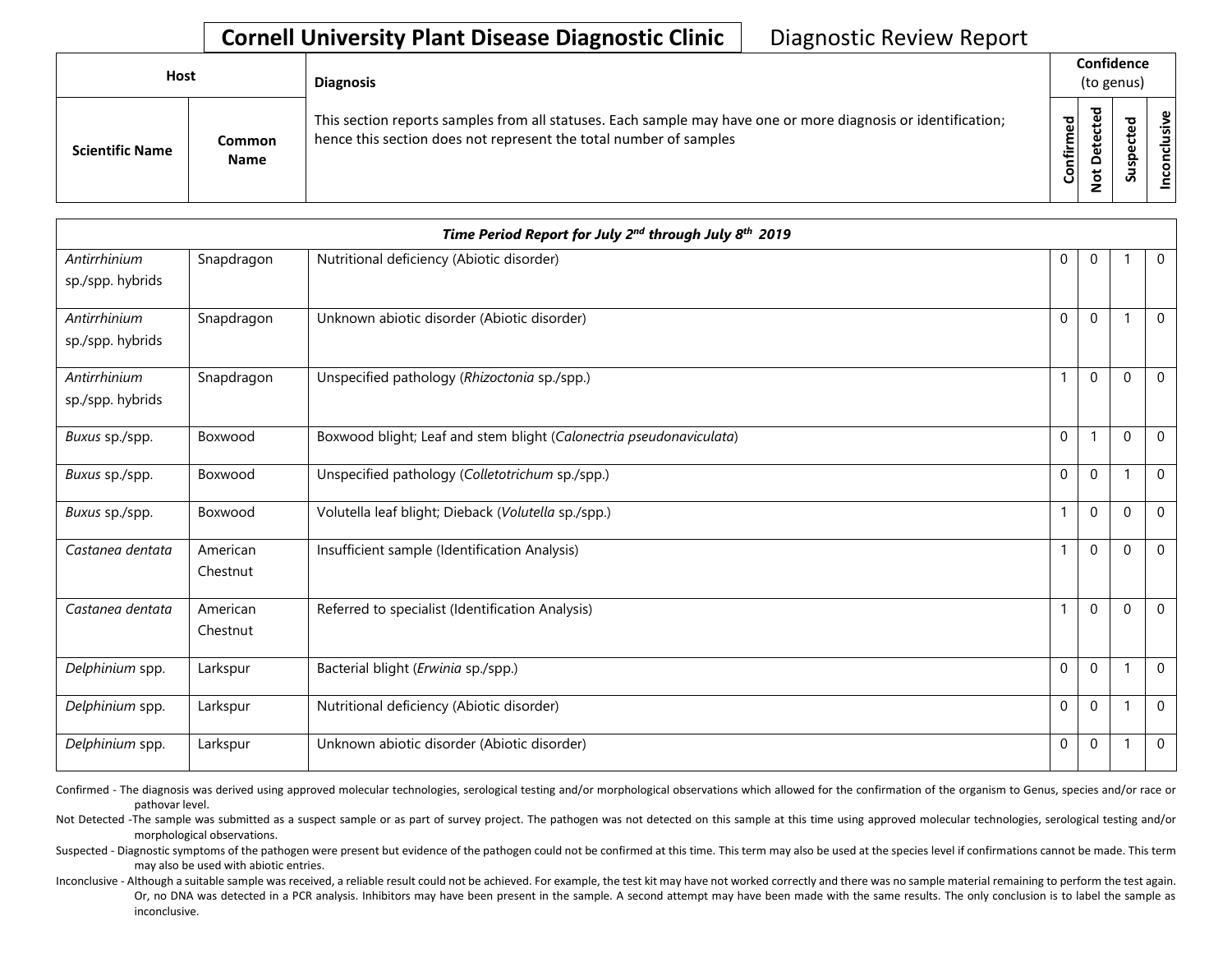## **Cornell University Plant Disease Diagnostic Clinic | Diagnostic Review Report**

| Host                   |                              | <b>Diagnosis</b>                                                                                                                                                                   |                               | Confidence<br>(to genus) |                              |                               |  |  |
|------------------------|------------------------------|------------------------------------------------------------------------------------------------------------------------------------------------------------------------------------|-------------------------------|--------------------------|------------------------------|-------------------------------|--|--|
| <b>Scientific Name</b> | <b>Common</b><br><b>Name</b> | This section reports samples from all statuses. Each sample may have one or more diagnosis or identification;<br>hence this section does not represent the total number of samples | c,<br>►<br>乍.<br>$\circ$<br>Ū | ᇃ                        | ധ<br>Q<br><b>S</b><br>∍<br>Ū | $\mathbf \omega$<br><u>.ಇ</u> |  |  |

|                                  |                      | Time Period Report for July 2nd through July 8th 2019               |              |              |          |              |
|----------------------------------|----------------------|---------------------------------------------------------------------|--------------|--------------|----------|--------------|
| Antirrhinium<br>sp./spp. hybrids | Snapdragon           | Nutritional deficiency (Abiotic disorder)                           | $\mathbf 0$  | $\mathbf 0$  |          | $\mathbf 0$  |
| Antirrhinium<br>sp./spp. hybrids | Snapdragon           | Unknown abiotic disorder (Abiotic disorder)                         | $\mathbf 0$  | $\mathbf{0}$ |          | $\Omega$     |
| Antirrhinium<br>sp./spp. hybrids | Snapdragon           | Unspecified pathology (Rhizoctonia sp./spp.)                        | 1            | $\mathbf{0}$ | $\Omega$ | $\mathbf 0$  |
| Buxus sp./spp.                   | Boxwood              | Boxwood blight; Leaf and stem blight (Calonectria pseudonaviculata) | $\mathbf 0$  | 1            | $\Omega$ | $\mathbf 0$  |
| Buxus sp./spp.                   | Boxwood              | Unspecified pathology (Colletotrichum sp./spp.)                     | $\mathbf 0$  | $\mathbf 0$  |          | $\mathbf 0$  |
| Buxus sp./spp.                   | Boxwood              | Volutella leaf blight; Dieback (Volutella sp./spp.)                 | 1            | $\mathbf 0$  | $\Omega$ | $\mathbf 0$  |
| Castanea dentata                 | American<br>Chestnut | Insufficient sample (Identification Analysis)                       |              | $\mathbf 0$  | $\Omega$ | $\mathbf 0$  |
| Castanea dentata                 | American<br>Chestnut | Referred to specialist (Identification Analysis)                    |              | $\Omega$     | $\Omega$ | $\mathbf{0}$ |
| Delphinium spp.                  | Larkspur             | Bacterial blight (Erwinia sp./spp.)                                 | $\mathbf{0}$ | $\mathbf 0$  |          | $\mathbf{0}$ |
| Delphinium spp.                  | Larkspur             | Nutritional deficiency (Abiotic disorder)                           | $\mathbf 0$  | $\mathbf 0$  |          | $\mathbf 0$  |
| Delphinium spp.                  | Larkspur             | Unknown abiotic disorder (Abiotic disorder)                         | $\mathbf 0$  | $\mathbf 0$  |          | $\mathbf 0$  |

Confirmed - The diagnosis was derived using approved molecular technologies, serological testing and/or morphological observations which allowed for the confirmation of the organism to Genus, species and/or race or pathovar level.

Not Detected -The sample was submitted as a suspect sample or as part of survey project. The pathogen was not detected on this sample at this time using approved molecular technologies, serological testing and/or morphological observations.

Suspected - Diagnostic symptoms of the pathogen were present but evidence of the pathogen could not be confirmed at this time. This term may also be used at the species level if confirmations cannot be made. This term may also be used with abiotic entries.

Or, no DNA was detected in a PCR analysis. Inhibitors may have been present in the sample. A second attempt may have been made with the same results. The only conclusion is to label the sample as Inconclusive - Although a suitable sample was received, a reliable result could not be achieved. For example, the test kit may have not worked correctly and there was no sample material remaining to perform the test again. inconclusive.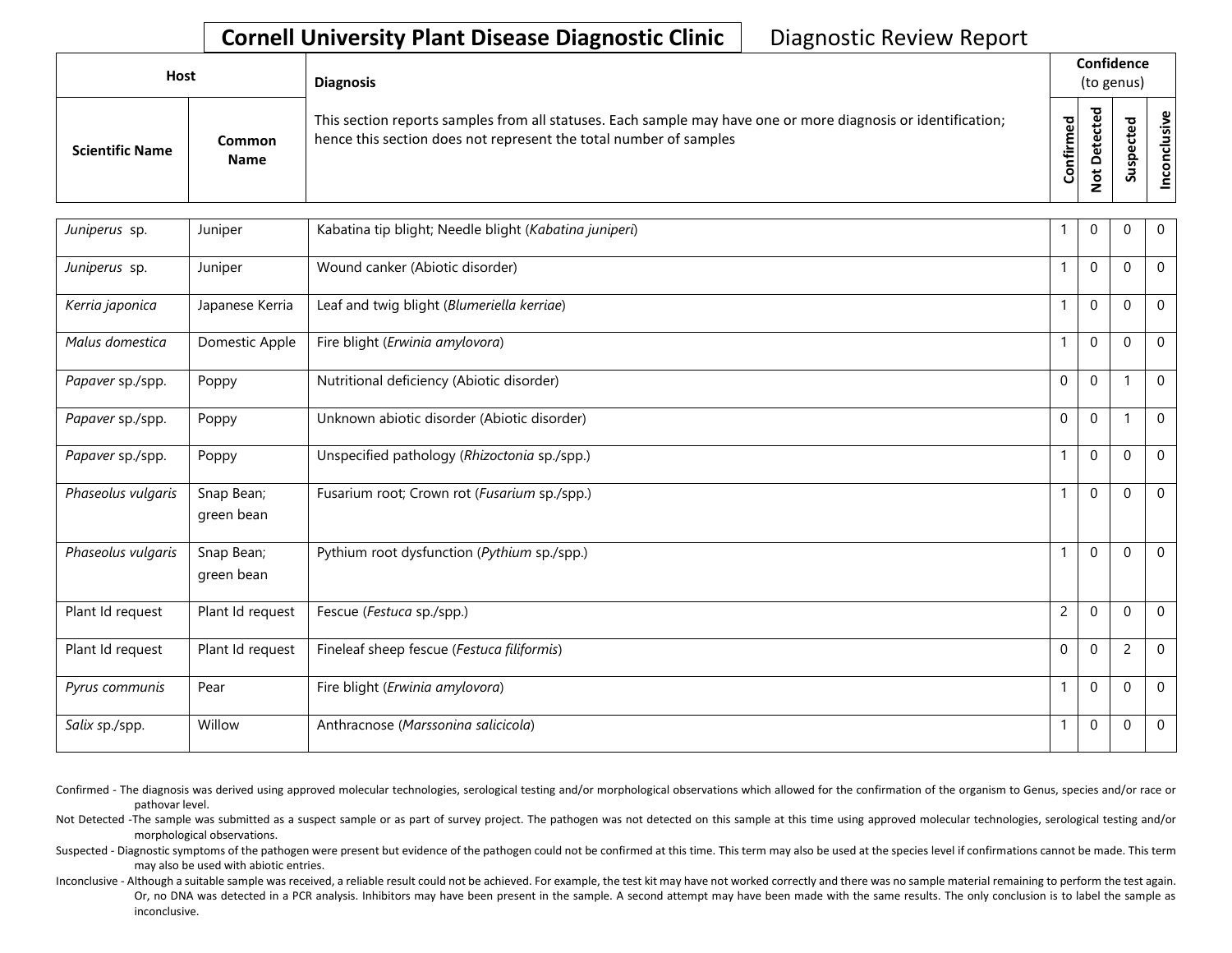## **Cornell University Plant Disease Diagnostic Clinic | Diagnostic Review Report**

| Host                   |                              | <b>Diagnosis</b>                                                                                                                                                                   | Confidence<br>(to genus) |                              |   |                  |  |
|------------------------|------------------------------|------------------------------------------------------------------------------------------------------------------------------------------------------------------------------------|--------------------------|------------------------------|---|------------------|--|
| <b>Scientific Name</b> | <b>Common</b><br><b>Name</b> | This section reports samples from all statuses. Each sample may have one or more diagnosis or identification;<br>hence this section does not represent the total number of samples | Confirmed                | ᇃ<br>ω<br>e<br>$\Omega$<br>پ | n | ρ<br>÷<br>킁<br>ō |  |

| Juniperus sp.      | Juniper                  | Kabatina tip blight; Needle blight (Kabatina juniperi) | $\mathbf{1}$   | 0            | $\Omega$       | $\Omega$       |
|--------------------|--------------------------|--------------------------------------------------------|----------------|--------------|----------------|----------------|
| Juniperus sp.      | Juniper                  | Wound canker (Abiotic disorder)                        |                | $\Omega$     | $\mathbf{0}$   | $\Omega$       |
| Kerria japonica    | Japanese Kerria          | Leaf and twig blight (Blumeriella kerriae)             | $\mathbf{1}$   | $\mathbf 0$  | $\Omega$       | $\Omega$       |
| Malus domestica    | Domestic Apple           | Fire blight (Erwinia amylovora)                        | 1              | $\mathbf{0}$ | $\Omega$       | $\mathbf 0$    |
| Papaver sp./spp.   | Poppy                    | Nutritional deficiency (Abiotic disorder)              | $\Omega$       | $\mathbf 0$  |                | $\Omega$       |
| Papaver sp./spp.   | Poppy                    | Unknown abiotic disorder (Abiotic disorder)            | $\Omega$       | $\mathbf 0$  |                | $\Omega$       |
| Papaver sp./spp.   | Poppy                    | Unspecified pathology (Rhizoctonia sp./spp.)           | $\mathbf{1}$   | $\mathbf 0$  | $\Omega$       | $\overline{0}$ |
| Phaseolus vulgaris | Snap Bean;<br>green bean | Fusarium root; Crown rot (Fusarium sp./spp.)           | 1              | $\Omega$     | $\Omega$       | $\Omega$       |
| Phaseolus vulgaris | Snap Bean;<br>green bean | Pythium root dysfunction (Pythium sp./spp.)            |                | $\mathbf 0$  | $\Omega$       | $\mathbf 0$    |
| Plant Id request   | Plant Id request         | Fescue (Festuca sp./spp.)                              | $\overline{c}$ | $\Omega$     | $\Omega$       | $\mathbf 0$    |
| Plant Id request   | Plant Id request         | Fineleaf sheep fescue (Festuca filiformis)             | $\Omega$       | $\mathbf{0}$ | $\overline{c}$ | $\Omega$       |
| Pyrus communis     | Pear                     | Fire blight (Erwinia amylovora)                        | $\mathbf{1}$   | $\Omega$     | $\Omega$       | $\Omega$       |
| Salix sp./spp.     | Willow                   | Anthracnose (Marssonina salicicola)                    | 1              | $\mathbf 0$  | 0              | $\mathbf 0$    |

Confirmed - The diagnosis was derived using approved molecular technologies, serological testing and/or morphological observations which allowed for the confirmation of the organism to Genus, species and/or race or pathovar level.

Not Detected -The sample was submitted as a suspect sample or as part of survey project. The pathogen was not detected on this sample at this time using approved molecular technologies, serological testing and/or morphological observations.

Suspected - Diagnostic symptoms of the pathogen were present but evidence of the pathogen could not be confirmed at this time. This term may also be used at the species level if confirmations cannot be made. This term may also be used with abiotic entries.

Or, no DNA was detected in a PCR analysis. Inhibitors may have been present in the sample. A second attempt may have been made with the same results. The only conclusion is to label the sample as Inconclusive - Although a suitable sample was received, a reliable result could not be achieved. For example, the test kit may have not worked correctly and there was no sample material remaining to perform the test again. inconclusive.